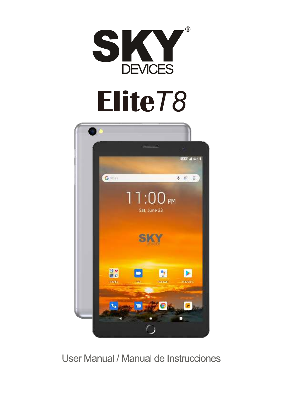

# **Elite***T8*



# User Manual / Manual de Instrucciones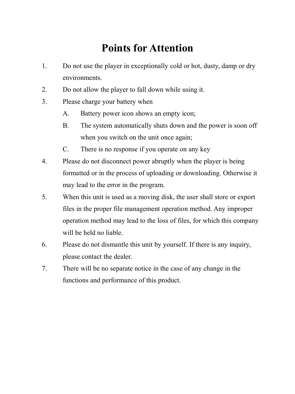# **Points for Attention**

- 1. Do not use the player in exceptionally cold or hot, dusty, damp or dry environments.
- 2. Do not allow the player to fall down while using it.
- 3. Please charge your battery when
	- A. Battery power icon shows an empty icon;
	- B. The system automatically shuts down and the power is soon off when you switch on the unit once again;
	- C. There is no response if you operate on any key
- 4. Please do not disconnect power abruptly when the player is being formatted or in the process of uploading or downloading. Otherwise it may lead to the error in the program.
- 5. When this unit is used as a moving disk, the user shall store or export files in the proper file management operation method. Any improper operation method may lead to the loss of files, for which this company will be held no liable.
- 6. Please do not dismantle this unit by yourself. If there is any inquiry, please contact the dealer.
- 7. There will be no separate notice in the case of any change in the functions and performance of this product.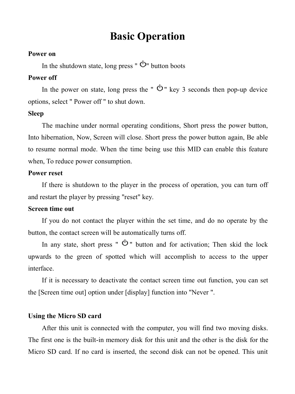# **Basic Operation**

#### **Power on**

In the shutdown state, long press "  $\Phi$ " button boots

### **Power off**

In the power on state, long press the "  $\Phi$ " key 3 seconds then pop-up device options, select " Power off " to shut down.

### **Sleep**

The machine under normal operating conditions, Short press the power button, Into hibernation, Now, Screen will close. Short press the power button again, Be able to resume normal mode. When the time being use this MID can enable this feature when, To reduce power consumption.

### **Power reset**

If there is shutdown to the player in the process of operation, you can turn off and restart the player by pressing "reset" key.

### **Screen time out**

If you do not contact the player within the set time, and do no operate by the button, the contact screen will be automatically turns off.

In any state, short press "  $\Phi$ " button and for activation; Then skid the lock upwards to the green of spotted which will accomplish to access to the upper interface.

If it is necessary to deactivate the contact screen time out function, you can set the [Screen time out] option under [display] function into "Never ".

#### **Using the Micro SD card**

After this unit is connected with the computer, you will find two moving disks. The first one is the built-in memory disk for this unit and the other is the disk for the Micro SD card. If no card is inserted, the second disk can not be opened. This unit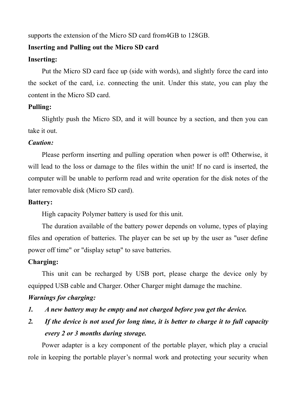supports the extension of the Micro SD card from4GB to 128GB.

### **Inserting and Pulling out the Micro SD card**

### **Inserting:**

Put the Micro SD card face up (side with words), and slightly force the card into the socket of the card, i.e. connecting the unit. Under this state, you can play the content in the Micro SD card.

### **Pulling:**

Slightly push the Micro SD, and it will bounce by a section, and then you can take it out.

### *Caution:*

Please perform inserting and pulling operation when power is off! Otherwise, it will lead to the loss or damage to the files within the unit! If no card is inserted, the computer will be unable to perform read and write operation for the disk notes of the later removable disk (Micro SD card).

### **Battery:**

High capacity Polymer battery is used for this unit.

The duration available of the battery power depends on volume, types of playing files and operation of batteries. The player can be set up by the user as "user define power off time" or "display setup" to save batteries.

### **Charging:**

This unit can be recharged by USB port, please charge the device only by equipped USB cable and Charger. Other Charger might damage the machine.

### *Warnings for charging:*

- *1. A new battery may be empty and not charged before you get the device.*
- *2. If the device is not used for long time, it is better to charge it to full capacity every 2 or 3 months during storage.*

Power adapter is a key component of the portable player, which play a crucial role in keeping the portable player's normal work and protecting your security when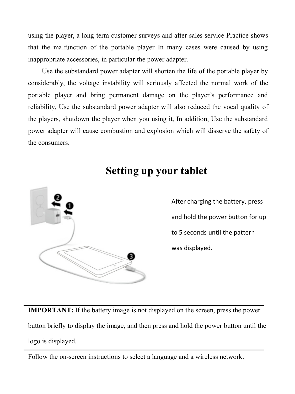using the player, a long-term customer surveys and after-sales service Practice shows that the malfunction of the portable player In many cases were caused by using inappropriate accessories, in particular the power adapter.

Use the substandard power adapter will shorten the life of the portable player by considerably, the voltage instability will seriously affected the normal work of the portable player and bring permanent damage on the player's performance and reliability, Use the substandard power adapter will also reduced the vocal quality of the players, shutdown the player when you using it, In addition, Use the substandard power adapter will cause combustion and explosion which will disserve the safety of the consumers.



# **Setting up your tablet**

After charging the battery, press and hold the power button for up to 5 seconds until the pattern was displayed.

**IMPORTANT:** If the battery image is not displayed on the screen, press the power button briefly to display the image, and then press and hold the power button until the logo is displayed.

Follow the on-screen instructions to select a language and a wireless network.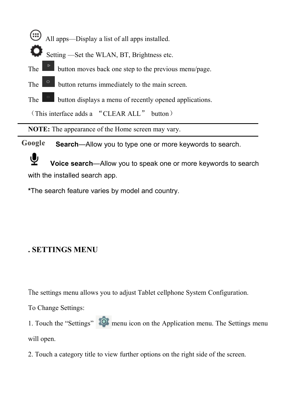- All apps—Display a list of all apps installed.
- Setting —Set the WLAN, BT, Brightness etc.
- The **button moves back one step to the previous menu/page.**
- The **button returns immediately to the main screen.**
- The **button** displays a menu of recently opened applications.

(This interface adds a "CLEAR ALL" button)

**NOTE:** The appearance of the Home screen may vary.

Google **Search**—Allow you to type one or more keywords to search.

**Voice search**—Allow you to speak one or more keywords to search with the installed search app.

**\***The search feature varies by model and country.

### **. SETTINGS MENU**

The settings menu allows you to adjust Tablet cellphone System Configuration.

To Change Settings:

1. Touch the "Settings" **10** menu icon on the Application menu. The Settings menu will open.

2. Touch a category title to view further options on the right side of the screen.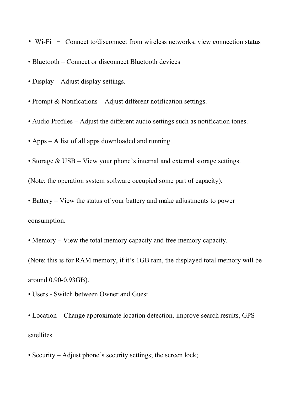- Wi-Fi Connect to/disconnect from wireless networks, view connection status
- Bluetooth Connect or disconnect Bluetooth devices
- Display Adjust display settings.
- Prompt & Notifications Adjust different notification settings.
- Audio Profiles Adjust the different audio settings such as notification tones.
- Apps A list of all apps downloaded and running.
- Storage  $&$  USB View your phone's internal and external storage settings.

(Note: the operation system software occupied some part of capacity).

- Battery View the status of your battery and make adjustments to power consumption.
- Memory View the total memory capacity and free memory capacity.

(Note: this is for RAM memory, if it's 1GB ram, the displayed total memory will be around 0.90-0.93GB).

- Users Switch between Owner and Guest
- Location Change approximate location detection, improve search results, GPS satellites
- Security Adjust phone's security settings; the screen lock;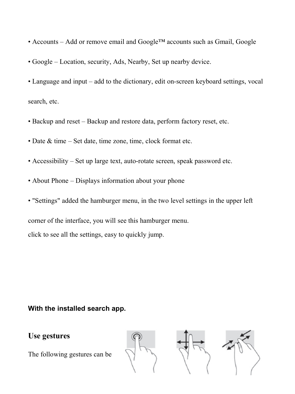- Accounts Add or remove email and Google™ accounts such as Gmail, Google
- Google Location, security, Ads, Nearby, Set up nearby device.
- Language and input add to the dictionary, edit on-screen keyboard settings, vocal search, etc.
- Backup and reset Backup and restore data, perform factory reset, etc.
- Date & time Set date, time zone, time, clock format etc.
- $\bullet$  Accessibility Set up large text, auto-rotate screen, speak password etc.
- About Phone Displays information about your phone
- "Settings" added the hamburger menu, in the two level settings in the upper left

corner of the interface, you will see this hamburger menu.

click to see all the settings, easy to quickly jump.

### **With the installed search app.**

### **Use gestures**

The following gestures can be

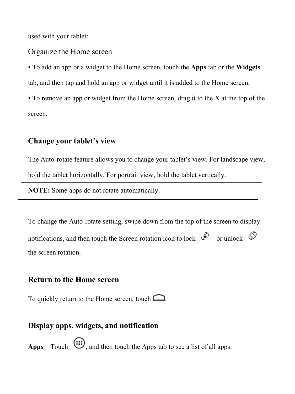used with your tablet:

Organize the Home screen

• To add an app or a widget to the Home screen, touch the **Apps** tab or the **Widgets** tab, and then tap and hold an app or widget until it is added to the Home screen.

• To remove an app or widget from the Home screen, drag it to the X at the top of the screen.

### **Change your tablet's view**

The Auto-rotate feature allows you to change your tablet's view. For landscape view, hold the tablet horizontally. For portrait view, hold the tablet vertically.

**NOTE:** Some apps do not rotate automatically.

To change the Auto-rotate setting, swipe down from the top of the screen to display notifications, and then touch the Screen rotation icon to lock  $\widehat{\mathbb{Q}}$  or unlock  $\widehat{\mathbb{Q}}$ the screen rotation.

### **Return to the Home screen**

To quickly return to the Home screen, touch  $\Box$ 

### **Display apps, widgets, and notification**

**Apps**—Touch  $\overline{\text{...}}$ , and then touch the Apps tab to see a list of all apps.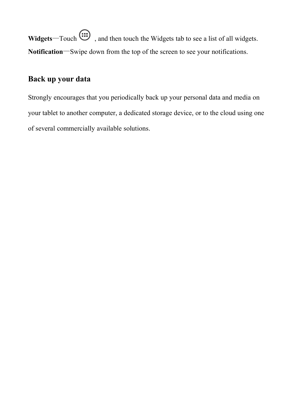**Widgets**—Touch  $\overline{\mathbf{w}}$ , and then touch the Widgets tab to see a list of all widgets. **Notification**—Swipe down from the top of the screen to see your notifications.

### **Back up your data**

Strongly encourages that you periodically back up your personal data and media on your tablet to another computer, a dedicated storage device, or to the cloud using one of several commercially available solutions.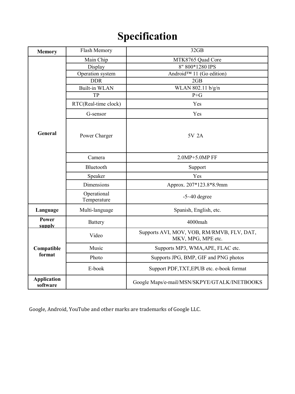# **Specification**

| Memory                         | Flash Memory               | 32GB                                                             |
|--------------------------------|----------------------------|------------------------------------------------------------------|
| General                        | Main Chip                  | MTK8765 Quad Core                                                |
|                                | Display                    | 8" 800*1280 IPS                                                  |
|                                | Operation system           | Android™ 11 (Go edition)                                         |
|                                | <b>DDR</b>                 | 2GB                                                              |
|                                | <b>Built-in WLAN</b>       | WLAN 802.11 b/g/n                                                |
|                                | TP                         | $P + G$                                                          |
|                                | RTC(Real-time clock)       | Yes                                                              |
|                                | G-sensor                   | Yes                                                              |
|                                | Power Charger              | 5V 2A                                                            |
|                                | Camera                     | 2.0MP+5.0MP FF                                                   |
|                                | <b>Bluetooth</b>           | Support                                                          |
|                                | Speaker                    | Yes                                                              |
|                                | <b>Dimensions</b>          | Approx. 207*123.8*8.9mm                                          |
|                                | Operational<br>Temperature | $-5 - 40$ degree                                                 |
| Language                       | Multi-language             | Spanish, English, etc.                                           |
| Power<br>supply                | Battery                    | 4000mah                                                          |
| Compatible<br>format           | Video                      | Supports AVI, MOV, VOB, RM/RMVB, FLV, DAT,<br>MKV, MPG, MPE etc. |
|                                | Music                      | Supports MP3, WMA, APE, FLAC etc.                                |
|                                | Photo                      | Supports JPG, BMP, GIF and PNG photos                            |
|                                | E-book                     | Support PDF, TXT, EPUB etc. e-book format                        |
| <b>Application</b><br>software |                            | Google Maps/e-mail/MSN/SKPYE/GTALK/INETBOOKS                     |

Google, Android, YouTube and other marks are trademarks of Google LLC.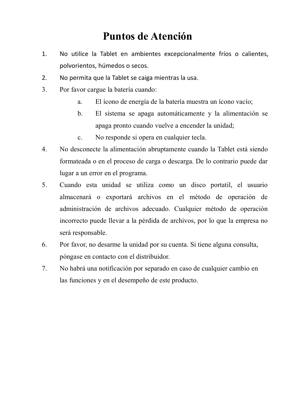# **Puntos de Atención**

- 1. No utilice la Tablet en ambientes excepcionalmente fríos o calientes, polvorientos, húmedos o secos.
- 2. No permita que la Tablet se caiga mientras la usa.
- 3. Por favor cargue la batería cuando:
	- a. El ícono de energía de la batería muestra un ícono vacío;
	- b. El sistema se apaga automáticamente y la alimentación se apaga pronto cuando vuelve a encender la unidad;
	- c. No responde si opera en cualquier tecla.
- 4. No desconecte la alimentación abruptamente cuando la Tablet está siendo formateada o en el proceso de carga o descarga. De lo contrario puede dar lugar a un error en el programa.
- 5. Cuando esta unidad se utiliza como un disco portatil, el usuario almacenará o exportará archivos en el método de operación de administración de archivos adecuado. Cualquier método de operación incorrecto puede llevar a la pérdida de archivos, por lo que la empresa no será responsable.
- 6. Por favor, no desarme la unidad por su cuenta. Si tiene alguna consulta, póngase en contacto con el distribuidor.
- 7. No habrá una notificación por separado en caso de cualquier cambio en las funciones y en el desempeño de este producto.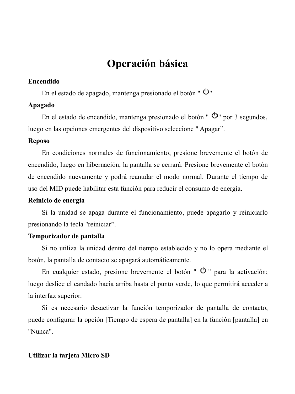# **Operación básica**

### **Encendido**

En el estado de apagado, mantenga presionado el botón " $\Phi$ "

### **Apagado**

En el estado de encendido, mantenga presionado el botón " $\mathcal{O}$ " por 3 segundos, luego en las opciones emergentes del dispositivo seleccione " Apagar".

### **Reposo**

En condiciones normales de funcionamiento, presione brevemente el botón de encendido, luego en hibernación, la pantalla se cerrará. Presione brevemente el botón de encendido nuevamente y podrá reanudar el modo normal. Durante el tiempo de uso del MID puede habilitar esta función para reducir el consumo de energía.

### **Reinicio de energía**

Si la unidad se apaga durante el funcionamiento, puede apagarlo y reiniciarlo presionando la tecla "reiniciar".

### **Temporizador de pantalla**

Si no utiliza la unidad dentro del tiempo establecido y no lo opera mediante el botón, la pantalla de contacto se apagará automáticamente.

En cualquier estado, presione brevemente el botón " $\Phi$ " para la activación: luego deslice el candado hacia arriba hasta el punto verde, lo que permitirá acceder a la interfaz superior.

Si es necesario desactivar la función temporizador de pantalla de contacto, puede configurar la opción [Tiempo de espera de pantalla] en la función [pantalla] en "Nunca".

#### **Utilizar la tarjeta Micro SD**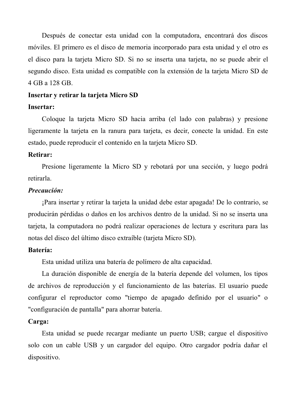Después de conectar esta unidad con la computadora, encontrará dos discos móviles. El primero es el disco de memoria incorporado para esta unidad y el otro es el disco para la tarjeta Micro SD. Si no se inserta una tarjeta, no se puede abrir el segundo disco. Esta unidad es compatible con la extensión de la tarjeta Micro SD de 4 GB a 128 GB.

#### **Insertar y retirar la tarjeta Micro SD**

#### **Insertar:**

Coloque la tarjeta Micro SD hacia arriba (el lado con palabras) y presione ligeramente la tarieta en la ranura para tarieta, es decir, conecte la unidad. En este estado, puede reproducir el contenido en la tarjeta Micro SD.

#### **Retirar:**

Presione ligeramente la Micro SD y rebotará por una sección, y luego podrá retirarla.

### *Precaución:*

¡Para insertar y retirar la tarjeta la unidad debe estar apagada! De lo contrario, se producirán pérdidas o daños en los archivos dentro de la unidad. Si no se inserta una tarjeta, la computadora no podrá realizar operaciones de lectura y escritura para las notas del disco del último disco extraíble (tarjeta Micro SD).

#### **Batería:**

Esta unidad utiliza una batería de polímero de alta capacidad.

La duración disponible de energía de la batería depende del volumen, los tipos de archivos de reproducción y el funcionamiento de las baterías. El usuario puede configurar el reproductor como "tiempo de apagado definido por el usuario" o "configuración de pantalla" para ahorrar batería.

#### **Carga:**

Esta unidad se puede recargar mediante un puerto USB; cargue el dispositivo solo con un cable USB y un cargador del equipo. Otro cargador podría dañar el dispositivo.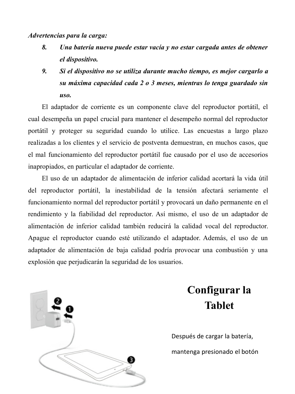*Advertencias para la carga:*

- *8. Una batería nueva puede estar vacía y no estar cargada antes de obtener el dispositivo.*
- *9. Si el dispositivo no se utiliza durante mucho tiempo, es mejor cargarlo a su máxima capacidad cada 2 o 3 meses, mientras lo tenga guardado sin uso.*

El adaptador de corriente es un componente clave del reproductor portátil, el cual desempeña un papel crucial para mantener el desempeño normal del reproductor portátil y proteger su seguridad cuando lo utilice. Las encuestas a largo plazo realizadas a los clientes y el servicio de postventa demuestran, en muchos casos, que el mal funcionamiento del reproductor portátil fue causado por el uso de accesorios inapropiados, en particular el adaptador de corriente.

El uso de un adaptador de alimentación de inferior calidad acortará la vida útil del reproductor portátil, la inestabilidad de la tensión afectará seriamente el funcionamiento normal del reproductor portátil y provocará un daño permanente en el rendimiento y la fiabilidad del reproductor. Así mismo, el uso de un adaptador de alimentación de inferior calidad también reducirá la calidad vocal del reproductor. Apague el reproductor cuando esté utilizando el adaptador. Además, el uso de un adaptador de alimentación de baja calidad podría provocar una combustión y una explosión que perjudicarán la seguridad de los usuarios.



# **Configurar la Tablet**

Después de cargar la batería, mantenga presionado el botón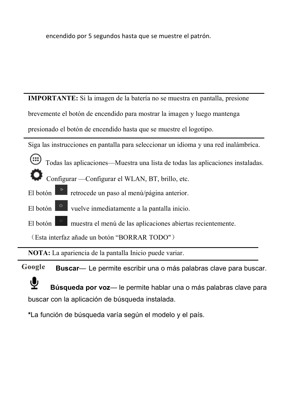encendido por 5 segundos hasta que se muestre el patrón.

**IMPORTANTE:** Si la imagen de la batería no se muestra en pantalla, presione

brevemente el botón de encendido para mostrar la imagen y luego mantenga

presionado el botón de encendido hasta que se muestre el logotipo.

Siga las instrucciones en pantalla para seleccionar un idioma y una red inalámbrica.

- Todas las aplicaciones—Muestra una lista de todas las aplicaciones instaladas.
- Configurar —Configurar el WLAN, BT, brillo, etc.
- El botón  $\mathbb{R}$  retrocede un paso al menú/página anterior.
- El botón vuelve inmediatamente a la pantalla inicio.
- El botón **muestra el menú de las aplicaciones abiertas recientemente.**

(Esta interfaz añade un botón "BORRAR TODO")

**NOTA:** La apariencia de la pantalla Inicio puede variar.

Google **Buscar**— Le permite escribir una o más palabras clave para buscar.



**Búsqueda por voz**— le permite hablar una o más palabras clave para buscar con la aplicación de búsqueda instalada.

**\***La función de búsqueda varía según el modelo y el país.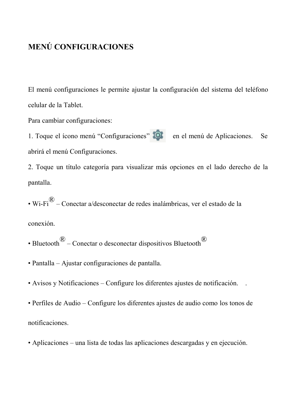### **MENÚ CONFIGURACIONES**

El menú configuraciones le permite ajustar la configuración del sistema del teléfono celular de la Tablet.

Para cambiar configuraciones:

1. Toque el ícono menú "Configuraciones" **en el menú de Aplicaciones.** Se abrirá el menú Configuraciones.

2. Toque un título categoría para visualizar más opciones en el lado derecho de la pantalla.

• Wi-Fi $\overset{\circ}{\Phi}$  – Conectar a/desconectar de redes inalámbricas, ver el estado de la

conexión.

- Bluetooth  $\bigotimes^{\textcircled{R}}$  Conectar o desconectar dispositivos Bluetooth
- Pantalla Ajustar configuraciones de pantalla.
- Avisos y Notificaciones Configure los diferentes ajustes de notificación. .
- Perfiles de Audio Configure los diferentes ajustes de audio como los tonos de notificaciones.
- Aplicaciones una lista de todas las aplicaciones descargadas y en ejecución.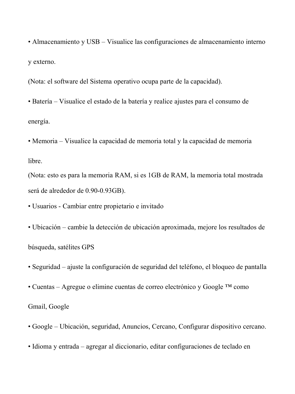• Almacenamiento y USB – Visualice las configuraciones de almacenamiento interno y externo.

(Nota: el software del Sistema operativo ocupa parte de la capacidad).

• Batería – Visualice el estado de la batería y realice ajustes para el consumo de energía.

• Memoria – Visualice la capacidad de memoria total y la capacidad de memoria libre.

(Nota: esto es para la memoria RAM, si es 1GB de RAM, la memoria total mostrada será de alrededor de 0.90-0.93GB).

• Usuarios - Cambiar entre propietario e invitado

• Ubicación – cambie la detección de ubicación aproximada, mejore los resultados de búsqueda, satélites GPS

• Seguridad – ajuste la configuración de seguridad del teléfono, el bloqueo de pantalla

• Cuentas – Agregue o elimine cuentas de correo electrónico y Google ™ como

Gmail, Google

• Google – Ubicación, seguridad, Anuncios, Cercano, Configurar dispositivo cercano.

• Idioma y entrada – agregar al diccionario, editar configuraciones de teclado en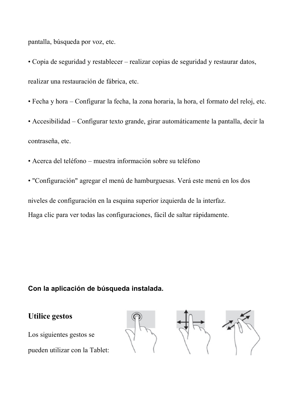pantalla, búsqueda por voz, etc.

• Copia de seguridad y restablecer – realizar copias de seguridad y restaurar datos, realizar una restauración de fábrica, etc.

- Fecha y hora Configurar la fecha, la zona horaria, la hora, el formato del reloj, etc.
- Accesibilidad Configurar texto grande, girar automáticamente la pantalla, decir la contraseña, etc.
- Acerca del teléfono muestra información sobre su teléfono
- "Configuración" agregar el menú de hamburguesas. Verá este menú en los dos

niveles de configuración en la esquina superior izquierda de la interfaz. Haga clic para ver todas las configuraciones, fácil de saltar rápidamente.

### **Con la aplicación de búsqueda instalada.**

### **Utilice gestos**

Los siguientes gestos se

pueden utilizar con la Tablet:





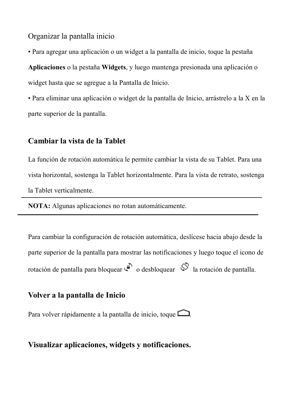Organizar la pantalla inicio

• Para agregar una aplicación o un widget a la pantalla de inicio, toque la pestaña

**Aplicaciones** o la pestaña **Widgets**, y luego mantenga presionada una aplicación o widget hasta que se agregue a la Pantalla de Inicio.

• Para eliminar una aplicación o widget de la pantalla de Inicio, arrástrelo a la X en la parte superior de la pantalla.

### **Cambiar la vista de la Tablet**

La función de rotación automática le permite cambiar la vista de su Tablet. Para una vista horizontal, sostenga la Tablet horizontalmente. Para la vista de retrato, sostenga la Tablet verticalmente.

**NOTA:** Algunas aplicaciones no rotan automáticamente.

Para cambiar la configuración de rotación automática, deslícese hacia abajo desde la parte superior de la pantalla para mostrar las notificaciones y luego toque el icono de rotación de pantalla para bloquear  $\widehat{\mathbb{C}}$  o desbloquear  $\widehat{\mathbb{C}}$  la rotación de pantalla.

### **Volver a la pantalla de Inicio**

Para volver rápidamente a la pantalla de inicio, toque  $\Box$ 

### **Visualizar aplicaciones, widgets y notificaciones.**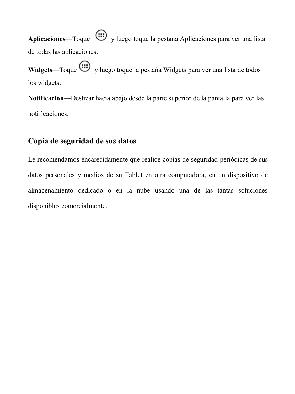**Aplicaciones**—Toque  $\overline{\mathbf{w}}$  v luego toque la pestaña Aplicaciones para ver una lista de todas las aplicaciones.

Widgets—Toque  $\overline{\text{ } }$  y luego toque la pestaña Widgets para ver una lista de todos los widgets.

**Notificación**—Deslizar hacia abajo desde la parte superior de la pantalla para ver las notificaciones.

### **Copia de seguridad de sus datos**

Le recomendamos encarecidamente que realice copias de seguridad periódicas de sus datos personales y medios de su Tablet en otra computadora, en un dispositivo de almacenamiento dedicado o en la nube usando una de las tantas soluciones disponibles comercialmente.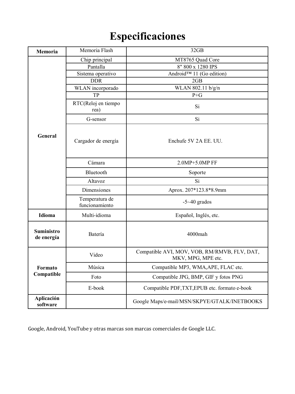# **Especificaciones**

| Memoria                  | Memoria Flash                    | 32GB                                                               |
|--------------------------|----------------------------------|--------------------------------------------------------------------|
| General                  | Chip principal                   | MT8765 Quad Core                                                   |
|                          | Pantalla                         | 8" 800 x 1280 IPS                                                  |
|                          | Sistema operativo                | Android™ 11 (Go edition)                                           |
|                          | <b>DDR</b>                       | 2GB                                                                |
|                          | WLAN incorporado                 | WLAN 802.11 b/g/n                                                  |
|                          | TP                               | $P + G$                                                            |
|                          | RTC(Reloj en tiempo<br>rea)      | Si                                                                 |
|                          | G-sensor                         | Si                                                                 |
|                          | Cargador de energía              | Enchufe 5V 2A EE. UU.                                              |
|                          | Cámara                           | 2.0MP+5.0MP FF                                                     |
|                          | Bluetooth                        | Soporte                                                            |
|                          | Altavoz                          | Si                                                                 |
|                          | <b>Dimensiones</b>               | Aprox. 207*123.8*8.9mm                                             |
|                          | Temperatura de<br>funcionamiento | $-5 - 40$ grados                                                   |
| Idioma                   | Multi-idioma                     | Español, Inglés, etc.                                              |
| Suministro<br>de energía | Batería                          | $4000$ mah                                                         |
| Formato<br>Compatible    | Video                            | Compatible AVI, MOV, VOB, RM/RMVB, FLV, DAT,<br>MKV, MPG, MPE etc. |
|                          | Música                           | Compatible MP3, WMA, APE, FLAC etc.                                |
|                          | Foto                             | Compatible JPG, BMP, GIF y fotos PNG                               |
|                          | E-book                           | Compatible PDF, TXT, EPUB etc. formato e-book                      |
| Aplicación<br>software   |                                  | Google Maps/e-mail/MSN/SKPYE/GTALK/INETBOOKS                       |

Google, Android, YouTube y otras marcas son marcas comerciales de Google LLC.